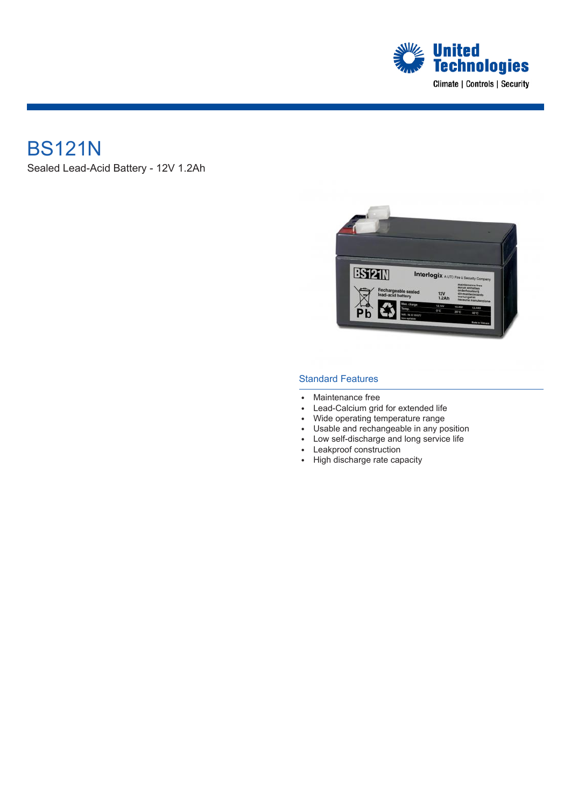

## BS121N

Sealed Lead-Acid Battery - 12V 1.2Ah



#### Standard Features

- Maintenance free
- Lead-Calcium grid for extended life
- Wide operating temperature range
- Usable and rechangeable in any position
- Low self-discharge and long service life
- Leakproof construction
- High discharge rate capacity